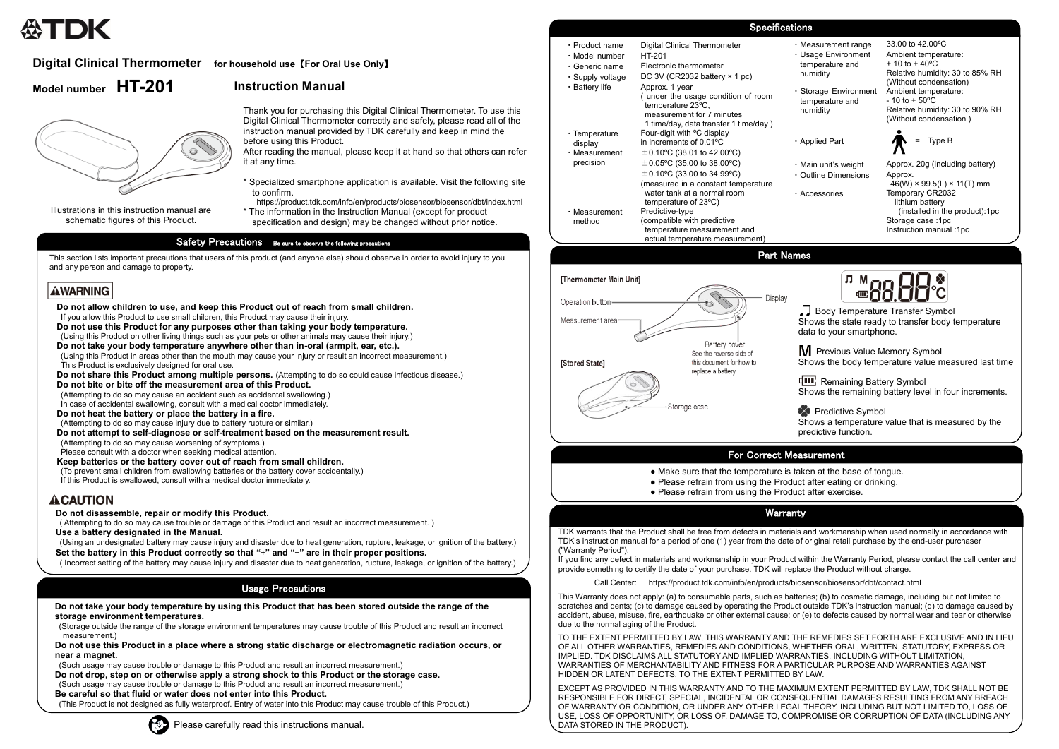# **Digital Clinical Thermometer for household use** 【**For Oral Use Only**】

# **Model number HT-201**



Thank you for purchasing this Digital Clinical Thermometer. To use this Digital Clinical Thermometer correctly and safely, please read all of the instruction manual provided by TDK carefully and keep in mind the before using this Product.

- \* Specialized smartphone application is available. Visit the following site to confirm.
- https://product.tdk.com/info/en/products/biosensor/biosensor/dbt/index.html
- \* The information in the Instruction Manual (except for product specification and design) may be changed without prior notice.

## Safety Precautions Be sure to observe the following precautions

Illustrations in this instruction manual are schematic figures of this Product.

After reading the manual, please keep it at hand so that others can refer it at any time.

> **Body Temperature Transfer Symbol** Shows the state ready to transfer body temperature data to your smartphone.

**M** Previous Value Memory Symbol Shows the body temperature value measured last time

**THE** Remaining Battery Symbol Shows the remaining battery level in four increments.

 $\rightarrow$  Predictive Symbol Shows a temperature value that is measured by the predictive function.

- Make sure that the temperature is taken at the base of tongue.
- Please refrain from using the Product after eating or drinking.
- Please refrain from using the Product after exercise.

# For Correct Measurement

# **Instruction Manual**

## Part Names



This section lists important precautions that users of this product (and anyone else) should observe in order to avoid injury to you and any person and damage to property.

## **AWARNING**

### **Do not disassemble, repair or modify this Product.**

( Attempting to do so may cause trouble or damage of this Product and result an incorrect measurement. )

- (To prevent small children from swallowing batteries or the battery cover accidentally.)
- If this Product is swallowed, consult with a medical doctor immediately.

## **ACAUTION**

**Use a battery designated in the Manual.**

(Using an undesignated battery may cause injury and disaster due to heat generation, rupture, leakage, or ignition of the battery.) **Set the battery in this Product correctly so that "**+**" and "**-**" are in their proper positions.**

( Incorrect setting of the battery may cause injury and disaster due to heat generation, rupture, leakage, or ignition of the battery.)

**Do not allow children to use, and keep this Product out of reach from small children.** If you allow this Product to use small children, this Product may cause their injury.

**Do not use this Product for any purposes other than taking your body temperature.**

- (Using this Product on other living things such as your pets or other animals may cause their injury.)
- **Do not take your body temperature anywhere other than in-oral (armpit, ear, etc.).** (Using this Product in areas other than the mouth may cause your injury or result an incorrect measurement.) This Product is exclusively designed for oral use.
- **Do not share this Product among multiple persons.** (Attempting to do so could cause infectious disease.)
- **Do not bite or bite off the measurement area of this Product.**
- (Attempting to do so may cause an accident such as accidental swallowing.)
- In case of accidental swallowing, consult with a medical doctor immediately.
- **Do not heat the battery or place the battery in a fire.**
- (Attempting to do so may cause injury due to battery rupture or similar.)
- **Do not attempt to self-diagnose or self-treatment based on the measurement result.**
- (Attempting to do so may cause worsening of symptoms.)
- Please consult with a doctor when seeking medical attention.

## **Keep batteries or the battery cover out of reach from small children.**

Measurement range 33.00 to 42.00°C Usage Environment temperature and humidity

## Usage Precautions

**Storage Environment** temperature and humidity

Outline Dimensions Approx.

**Do not take your body temperature by using this Product that has been stored outside the range of the storage environment temperatures.**

Main unit's weight Approx. 20g (including battery)  $46(W) \times 99.5(L) \times 11(T)$  mm Accessories Temporary CR2032 lithium battery (installed in the product):1pc Storage case :1pc Instruction manual :1pc



(Storage outside the range of the storage environment temperatures may cause trouble of this Product and result an incorrect measurement.)

**Do not use this Product in a place where a strong static discharge or electromagnetic radiation occurs, or near a magnet.**

- (Such usage may cause trouble or damage to this Product and result an incorrect measurement.)
- **Do not drop, step on or otherwise apply a strong shock to this Product or the storage case.**
- (Such usage may cause trouble or damage to this Product and result an incorrect measurement.)

**Be careful so that fluid or water does not enter into this Product.**

(This Product is not designed as fully waterproof. Entry of water into this Product may cause trouble of this Product.)



| Please carefully read this instructions manual. | , DATA STORED IN THE PRODUCT). |
|-------------------------------------------------|--------------------------------|

# Warranty

TDK warrants that the Product shall be free from defects in materials and workmanship when used normally in accordance with TDK's instruction manual for a period of one (1) year from the date of original retail purchase by the end-user purchaser ("Warranty Period").

If you find any defect in materials and workmanship in your Product within the Warranty Period, please contact the call center and provide something to certify the date of your purchase. TDK will replace the Product without charge.

Call Center: https://product.tdk.com/info/en/products/biosensor/biosensor/dbt/contact.html

This Warranty does not apply: (a) to consumable parts, such as batteries; (b) to cosmetic damage, including but not limited to scratches and dents; (c) to damage caused by operating the Product outside TDK's instruction manual; (d) to damage caused by accident, abuse, misuse, fire, earthquake or other external cause; or (e) to defects caused by normal wear and tear or otherwise due to the normal aging of the Product.

TO THE EXTENT PERMITTED BY LAW, THIS WARRANTY AND THE REMEDIES SET FORTH ARE EXCLUSIVE AND IN LIEU OF ALL OTHER WARRANTIES, REMEDIES AND CONDITIONS, WHETHER ORAL, WRITTEN, STATUTORY, EXPRESS OR IMPLIED. TDK DISCLAIMS ALL STATUTORY AND IMPLIED WARRANTIES, INCLUDING WITHOUT LIMITATION, WARRANTIES OF MERCHANTABILITY AND FITNESS FOR A PARTICULAR PURPOSE AND WARRANTIES AGAINST HIDDEN OR LATENT DEFECTS, TO THE EXTENT PERMITTED BY LAW.

EXCEPT AS PROVIDED IN THIS WARRANTY AND TO THE MAXIMUM EXTENT PERMITTED BY LAW, TDK SHALL NOT BE RESPONSIBLE FOR DIRECT, SPECIAL, INCIDENTAL OR CONSEQUENTIAL DAMAGES RESULTING FROM ANY BREACH OF WARRANTY OR CONDITION, OR UNDER ANY OTHER LEGAL THEORY, INCLUDING BUT NOT LIMITED TO, LOSS OF USE, LOSS OF OPPORTUNITY, OR LOSS OF, DAMAGE TO, COMPROMISE OR CORRUPTION OF DATA (INCLUDING ANY

# Specifications

| $\cdot$ Product name<br>• Model number<br>$\cdot$ Generic name | Digital Clinical Thermometer<br>HT-201<br>Electronic thermometer |  |
|----------------------------------------------------------------|------------------------------------------------------------------|--|
| · Supply voltage                                               | DC 3V (CR2032 battery $\times$ 1 pc)                             |  |
| ・Battery life                                                  | Approx. 1 year                                                   |  |
|                                                                | (under the usage condition of room<br>temperature 23°C,          |  |
|                                                                | measurement for 7 minutes                                        |  |
|                                                                | 1 time/day, data transfer 1 time/day)                            |  |
| $\cdot$ Temperature                                            | Four-digit with <sup>o</sup> C display                           |  |
| display                                                        | in increments of $0.01$ <sup>o</sup> C                           |  |
| $\cdot$ Measurement                                            | $\pm$ 0.10°C (38.01 to 42.00°C)                                  |  |
| precision                                                      | $\pm$ 0.05°C (35.00 to 38.00°C)                                  |  |
|                                                                | $\pm$ 0.10°C (33.00 to 34.99°C)                                  |  |
|                                                                | (measured in a constant temperature                              |  |
|                                                                | water tank at a normal room                                      |  |
|                                                                | temperature of $23^{\circ}$ C)                                   |  |
| $\cdot$ Measurement                                            | Predictive-type                                                  |  |
| method                                                         | (compatible with predictive                                      |  |
|                                                                | temperature measurement and                                      |  |
|                                                                | actual temperature measurement)                                  |  |

Ambient temperature:  $+ 10$  to  $+ 40$ <sup>o</sup>C Relative humidity: 30 to 85% RH (Without condensation) Ambient temperature:  $-10$  to  $+50^{\circ}$ C Relative humidity: 30 to 90% RH (Without condensation )